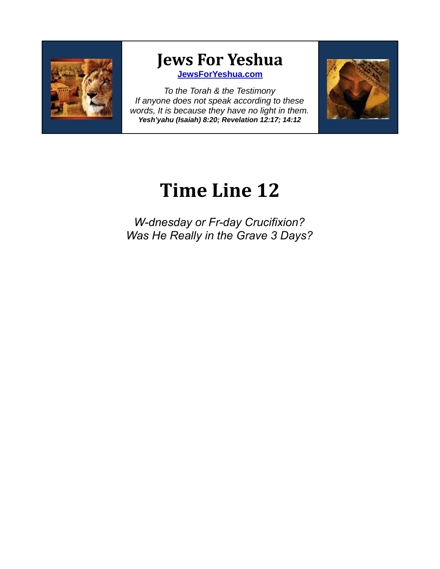

## **Jews For Yeshua**

**[JewsForYeshua.com](http://www.JewsForYeshua.com/)**

*To the Torah & the Testimony If anyone does not speak according to these words, It is because they have no light in them. Yesh'yahu (Isaiah) 8:20; Revelation 12:17; 14:12*



## **Time Line 12**

*W-dnesday or Fr-day Crucifixion? Was He Really in the Grave 3 Days?*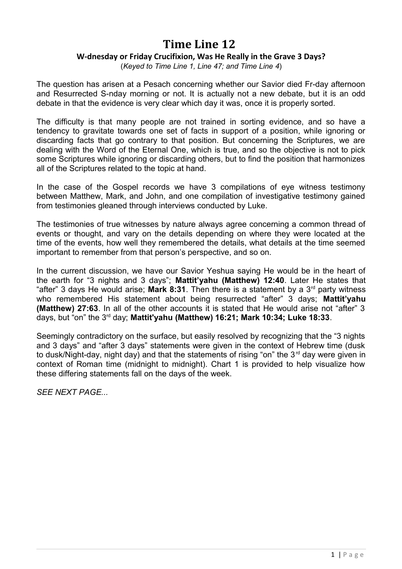## **Time Line 12**

## **W-dnesday or Friday Crucifixion, Was He Really in the Grave 3 Days?**

(*Keyed to Time Line 1, Line 47; and Time Line 4*)

The question has arisen at a Pesach concerning whether our Savior died Fr-day afternoon and Resurrected S-nday morning or not. It is actually not a new debate, but it is an odd debate in that the evidence is very clear which day it was, once it is properly sorted.

The difficulty is that many people are not trained in sorting evidence, and so have a tendency to gravitate towards one set of facts in support of a position, while ignoring or discarding facts that go contrary to that position. But concerning the Scriptures, we are dealing with the Word of the Eternal One, which is true, and so the objective is not to pick some Scriptures while ignoring or discarding others, but to find the position that harmonizes all of the Scriptures related to the topic at hand.

In the case of the Gospel records we have 3 compilations of eye witness testimony between Matthew, Mark, and John, and one compilation of investigative testimony gained from testimonies gleaned through interviews conducted by Luke.

The testimonies of true witnesses by nature always agree concerning a common thread of events or thought, and vary on the details depending on where they were located at the time of the events, how well they remembered the details, what details at the time seemed important to remember from that person's perspective, and so on.

In the current discussion, we have our Savior Yeshua saying He would be in the heart of the earth for "3 nights and 3 days"; **Mattit'yahu (Matthew) 12:40**. Later He states that "after" 3 days He would arise; **Mark 8:31**. Then there is a statement by a  $3<sup>rd</sup>$  party witness who remembered His statement about being resurrected "after" 3 days; **Mattit'yahu (Matthew) 27:63**. In all of the other accounts it is stated that He would arise not "after" 3 days, but "on" the 3rd day; **Mattit'yahu (Matthew) 16:21; Mark 10:34; Luke 18:33**.

Seemingly contradictory on the surface, but easily resolved by recognizing that the "3 nights and 3 days" and "after 3 days" statements were given in the context of Hebrew time (dusk to dusk/Night-day, night day) and that the statements of rising "on" the  $3<sup>rd</sup>$  day were given in context of Roman time (midnight to midnight). Chart 1 is provided to help visualize how these differing statements fall on the days of the week.

*SEE NEXT PAGE...*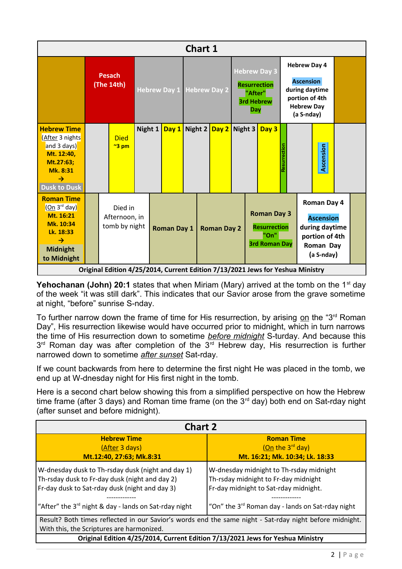| <b>Chart 1</b>                                                                                                                          |                             |  |                                           |         |  |                           |         |                    |                                                                                          |  |                                                                           |                                                                                                                |  |  |                                                                                                       |  |  |
|-----------------------------------------------------------------------------------------------------------------------------------------|-----------------------------|--|-------------------------------------------|---------|--|---------------------------|---------|--------------------|------------------------------------------------------------------------------------------|--|---------------------------------------------------------------------------|----------------------------------------------------------------------------------------------------------------|--|--|-------------------------------------------------------------------------------------------------------|--|--|
|                                                                                                                                         | <b>Pesach</b><br>(The 14th) |  |                                           |         |  | Hebrew Day 1 Hebrew Day 2 |         |                    | <b>Hebrew Day 3</b><br><b>Resurrection</b><br>"After"<br><b>3rd Hebrew</b><br><b>Day</b> |  |                                                                           | <b>Hebrew Day 4</b><br><b>Ascension</b><br>during daytime<br>portion of 4th<br><b>Hebrew Day</b><br>(a S-nday) |  |  |                                                                                                       |  |  |
|                                                                                                                                         |                             |  |                                           |         |  |                           |         |                    |                                                                                          |  |                                                                           |                                                                                                                |  |  |                                                                                                       |  |  |
| <b>Hebrew Time</b><br>(After 3 nights<br>and 3 days)<br>Mt. 12:40,<br>Mt.27:63;<br>Mk. 8:31<br>$\rightarrow$<br><b>Dusk to Dusk</b>     |                             |  | <b>Died</b><br>$\approx$ 3 pm             | Night 1 |  | Day 1                     | Night 2 |                    | Day $2$ Night 3                                                                          |  |                                                                           | Day 3                                                                                                          |  |  | Ascension                                                                                             |  |  |
| <b>Roman Time</b><br>(On 3 <sup>rd</sup> day)<br>Mt. 16:21<br>Mk. 10:34<br>Lk. 18:33<br>$\rightarrow$<br><b>Midnight</b><br>to Midnight |                             |  | Died in<br>Afternoon, in<br>tomb by night |         |  | <b>Roman Day 1</b>        |         | <b>Roman Day 2</b> |                                                                                          |  | <b>Roman Day 3</b><br><b>Resurrection</b><br>"On"<br><b>3rd Roman Day</b> |                                                                                                                |  |  | <b>Roman Day 4</b><br><b>Ascension</b><br>during daytime<br>portion of 4th<br>Roman Day<br>(a S-nday) |  |  |
| Original Edition 4/25/2014, Current Edition 7/13/2021 Jews for Yeshua Ministry                                                          |                             |  |                                           |         |  |                           |         |                    |                                                                                          |  |                                                                           |                                                                                                                |  |  |                                                                                                       |  |  |

**Yehochanan (John) 20:1** states that when Miriam (Mary) arrived at the tomb on the 1<sup>st</sup> day of the week "it was still dark". This indicates that our Savior arose from the grave sometime at night, "before" sunrise S-nday.

To further narrow down the frame of time for His resurrection, by arising on the "3<sup>rd</sup> Roman" Day", His resurrection likewise would have occurred prior to midnight, which in turn narrows the time of His resurrection down to sometime *before midnight* S-turday. And because this  $3<sup>rd</sup>$  Roman day was after completion of the  $3<sup>rd</sup>$  Hebrew day, His resurrection is further narrowed down to sometime *after sunset* Sat-rday.

If we count backwards from here to determine the first night He was placed in the tomb, we end up at W-dnesday night for His first night in the tomb.

Here is a second chart below showing this from a simplified perspective on how the Hebrew time frame (after 3 days) and Roman time frame (on the  $3<sup>rd</sup>$  day) both end on Sat-rday night (after sunset and before midnight).

| <b>Chart 2</b>                                                                                                                                                                                                      |                                                                                                                                                                                          |  |  |  |  |  |  |  |  |  |
|---------------------------------------------------------------------------------------------------------------------------------------------------------------------------------------------------------------------|------------------------------------------------------------------------------------------------------------------------------------------------------------------------------------------|--|--|--|--|--|--|--|--|--|
| <b>Hebrew Time</b>                                                                                                                                                                                                  | <b>Roman Time</b>                                                                                                                                                                        |  |  |  |  |  |  |  |  |  |
| (After 3 days)                                                                                                                                                                                                      | (On the $3^{rd}$ day)                                                                                                                                                                    |  |  |  |  |  |  |  |  |  |
| Mt.12:40, 27:63; Mk.8:31                                                                                                                                                                                            | Mt. 16:21; Mk. 10:34; Lk. 18:33                                                                                                                                                          |  |  |  |  |  |  |  |  |  |
| W-dnesday dusk to Th-rsday dusk (night and day 1)<br>Th-rsday dusk to Fr-day dusk (night and day 2)<br>Fr-day dusk to Sat-rday dusk (night and day 3)<br>"After" the $3^{rd}$ night & day - lands on Sat-rday night | W-dnesday midnight to Th-rsday midnight<br>Th-rsday midnight to Fr-day midnight<br>Fr-day midnight to Sat-rday midnight.<br>"On" the 3 <sup>rd</sup> Roman day - lands on Sat-rday night |  |  |  |  |  |  |  |  |  |
| Result? Both times reflected in our Savior's words end the same night - Sat-rday night before midnight.<br>With this, the Scriptures are harmonized.                                                                |                                                                                                                                                                                          |  |  |  |  |  |  |  |  |  |
| Original Edition 4/25/2014, Current Edition 7/13/2021 Jews for Yeshua Ministry                                                                                                                                      |                                                                                                                                                                                          |  |  |  |  |  |  |  |  |  |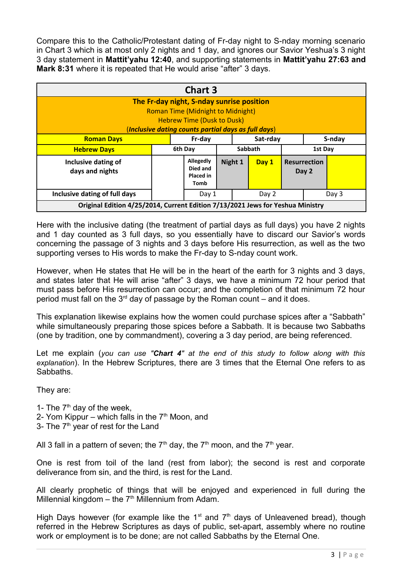Compare this to the Catholic/Protestant dating of Fr-day night to S-nday morning scenario in Chart 3 which is at most only 2 nights and 1 day, and ignores our Savior Yeshua's 3 night 3 day statement in **Mattit'yahu 12:40**, and supporting statements in **Mattit'yahu 27:63 and Mark 8:31** where it is repeated that He would arise "after" 3 days.

| <b>Chart 3</b>                                                                                                                                                                    |        |                                            |  |          |        |                              |  |         |  |  |
|-----------------------------------------------------------------------------------------------------------------------------------------------------------------------------------|--------|--------------------------------------------|--|----------|--------|------------------------------|--|---------|--|--|
| The Fr-day night, S-nday sunrise position<br><b>Roman Time (Midnight to Midnight)</b><br><b>Hebrew Time (Dusk to Dusk)</b><br>(Inclusive dating counts partial days as full days) |        |                                            |  |          |        |                              |  |         |  |  |
| <b>Roman Days</b>                                                                                                                                                                 | Fr-day |                                            |  | Sat-rday | S-nday |                              |  |         |  |  |
| <b>Hebrew Days</b>                                                                                                                                                                |        | 6th Day                                    |  | Sabbath  |        |                              |  | 1st Day |  |  |
| Inclusive dating of<br>days and nights                                                                                                                                            |        | Allegedly<br>Died and<br>Placed in<br>Tomb |  | Night 1  | Day 1  | <b>Resurrection</b><br>Day 2 |  |         |  |  |
| Inclusive dating of full days                                                                                                                                                     | Day 1  |                                            |  | Day 2    |        | Day 3                        |  |         |  |  |
| Original Edition 4/25/2014, Current Edition 7/13/2021 Jews for Yeshua Ministry                                                                                                    |        |                                            |  |          |        |                              |  |         |  |  |

Here with the inclusive dating (the treatment of partial days as full days) you have 2 nights and 1 day counted as 3 full days, so you essentially have to discard our Savior's words concerning the passage of 3 nights and 3 days before His resurrection, as well as the two supporting verses to His words to make the Fr-day to S-nday count work.

However, when He states that He will be in the heart of the earth for 3 nights and 3 days, and states later that He will arise "after" 3 days, we have a minimum 72 hour period that must pass before His resurrection can occur; and the completion of that minimum 72 hour period must fall on the  $3<sup>rd</sup>$  day of passage by the Roman count – and it does.

This explanation likewise explains how the women could purchase spices after a "Sabbath" while simultaneously preparing those spices before a Sabbath. It is because two Sabbaths (one by tradition, one by commandment), covering a 3 day period, are being referenced.

Let me explain (*you can use "Chart 4" at the end of this study to follow along with this explanation*). In the Hebrew Scriptures, there are 3 times that the Eternal One refers to as Sabbaths.

They are:

- 1- The  $7<sup>th</sup>$  day of the week,
- 2- Yom Kippur which falls in the  $7<sup>th</sup>$  Moon, and
- 3- The 7<sup>th</sup> year of rest for the Land

All 3 fall in a pattern of seven; the  $7<sup>th</sup>$  day, the  $7<sup>th</sup>$  moon, and the  $7<sup>th</sup>$  year.

One is rest from toil of the land (rest from labor); the second is rest and corporate deliverance from sin, and the third, is rest for the Land.

All clearly prophetic of things that will be enjoyed and experienced in full during the Millennial kingdom – the  $7<sup>th</sup>$  Millennium from Adam.

High Days however (for example like the 1<sup>st</sup> and  $7<sup>th</sup>$  days of Unleavened bread), though referred in the Hebrew Scriptures as days of public, set-apart, assembly where no routine work or employment is to be done; are not called Sabbaths by the Eternal One.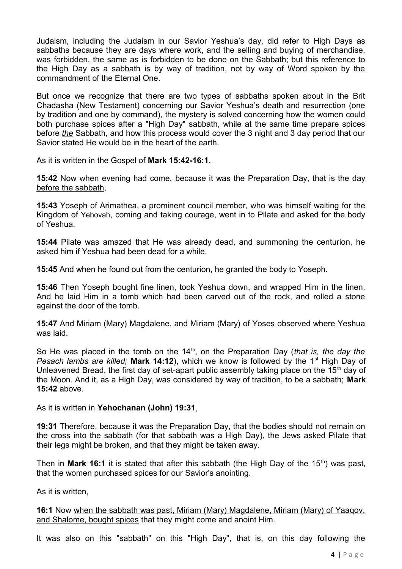Judaism, including the Judaism in our Savior Yeshua's day, did refer to High Days as sabbaths because they are days where work, and the selling and buying of merchandise, was forbidden, the same as is forbidden to be done on the Sabbath; but this reference to the High Day as a sabbath is by way of tradition, not by way of Word spoken by the commandment of the Eternal One.

But once we recognize that there are two types of sabbaths spoken about in the Brit Chadasha (New Testament) concerning our Savior Yeshua's death and resurrection (one by tradition and one by command), the mystery is solved concerning how the women could both purchase spices after a "High Day" sabbath, while at the same time prepare spices before *the* Sabbath, and how this process would cover the 3 night and 3 day period that our Savior stated He would be in the heart of the earth.

As it is written in the Gospel of **Mark 15:42-16:1**,

**15:42** Now when evening had come, because it was the Preparation Day, that is the day before the sabbath,

**15:43** Yoseph of Arimathea, a prominent council member, who was himself waiting for the Kingdom of Yehovah, coming and taking courage, went in to Pilate and asked for the body of Yeshua.

**15:44** Pilate was amazed that He was already dead, and summoning the centurion, he asked him if Yeshua had been dead for a while.

**15:45** And when he found out from the centurion, he granted the body to Yoseph.

**15:46** Then Yoseph bought fine linen, took Yeshua down, and wrapped Him in the linen. And he laid Him in a tomb which had been carved out of the rock, and rolled a stone against the door of the tomb.

**15:47** And Miriam (Mary) Magdalene, and Miriam (Mary) of Yoses observed where Yeshua was laid.

So He was placed in the tomb on the 14<sup>th</sup>, on the Preparation Day (*that is, the day the Pesach lambs are killed;* Mark 14:12), which we know is followed by the 1<sup>st</sup> High Day of Unleavened Bread, the first day of set-apart public assembly taking place on the 15<sup>th</sup> day of the Moon. And it, as a High Day, was considered by way of tradition, to be a sabbath; **Mark 15:42** above.

As it is written in **Yehochanan (John) 19:31**,

**19:31** Therefore, because it was the Preparation Day, that the bodies should not remain on the cross into the sabbath (for that sabbath was a High Day), the Jews asked Pilate that their legs might be broken, and that they might be taken away.

Then in **Mark 16:1** it is stated that after this sabbath (the High Day of the 15<sup>th</sup>) was past, that the women purchased spices for our Savior's anointing.

As it is written,

**16:1** Now when the sabbath was past, Miriam (Mary) Magdalene, Miriam (Mary) of Yaaqov, and Shalome, bought spices that they might come and anoint Him.

It was also on this "sabbath" on this "High Day", that is, on this day following the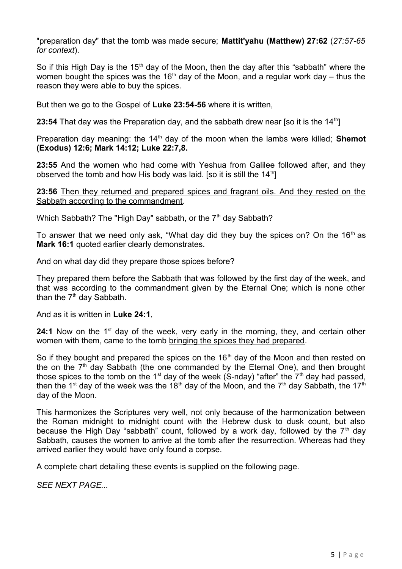"preparation day" that the tomb was made secure; **Mattit'yahu (Matthew) 27:62** (*27:57-65 for context*).

So if this High Day is the 15<sup>th</sup> day of the Moon, then the day after this "sabbath" where the women bought the spices was the 16<sup>th</sup> day of the Moon, and a regular work day – thus the reason they were able to buy the spices.

But then we go to the Gospel of **Luke 23:54-56** where it is written,

**23:54** That day was the Preparation day, and the sabbath drew near [so it is the 14<sup>th</sup>]

Preparation day meaning: the 14<sup>th</sup> day of the moon when the lambs were killed; **Shemot (Exodus) 12:6; Mark 14:12; Luke 22:7,8.** 

**23:55** And the women who had come with Yeshua from Galilee followed after, and they observed the tomb and how His body was laid. [so it is still the  $14<sup>th</sup>$ ]

**23:56** Then they returned and prepared spices and fragrant oils. And they rested on the Sabbath according to the commandment.

Which Sabbath? The "High Day" sabbath, or the  $7<sup>th</sup>$  day Sabbath?

To answer that we need only ask, "What day did they buy the spices on? On the  $16<sup>th</sup>$  as **Mark 16:1** quoted earlier clearly demonstrates.

And on what day did they prepare those spices before?

They prepared them before the Sabbath that was followed by the first day of the week, and that was according to the commandment given by the Eternal One; which is none other than the  $7<sup>th</sup>$  day Sabbath.

And as it is written in **Luke 24:1**,

**24:1** Now on the 1<sup>st</sup> day of the week, very early in the morning, they, and certain other women with them, came to the tomb bringing the spices they had prepared.

So if they bought and prepared the spices on the  $16<sup>th</sup>$  day of the Moon and then rested on the on the  $7<sup>th</sup>$  day Sabbath (the one commanded by the Eternal One), and then brought those spices to the tomb on the 1<sup>st</sup> day of the week (S-nday) "after" the  $7<sup>th</sup>$  day had passed, then the 1<sup>st</sup> day of the week was the 18<sup>th</sup> day of the Moon, and the 7<sup>th</sup> day Sabbath, the 17<sup>th</sup> day of the Moon.

This harmonizes the Scriptures very well, not only because of the harmonization between the Roman midnight to midnight count with the Hebrew dusk to dusk count, but also because the High Day "sabbath" count, followed by a work day, followed by the  $7<sup>th</sup>$  day Sabbath, causes the women to arrive at the tomb after the resurrection. Whereas had they arrived earlier they would have only found a corpse.

A complete chart detailing these events is supplied on the following page.

*SEE NEXT PAGE...*